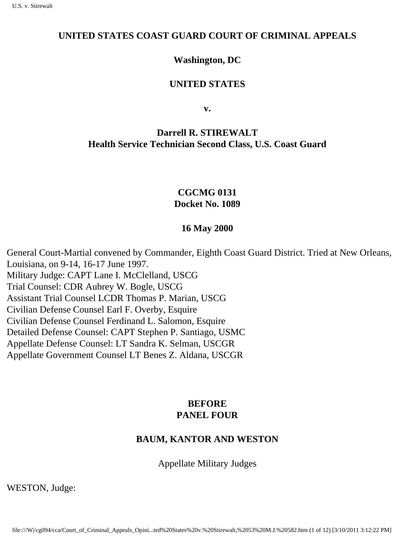#### **UNITED STATES COAST GUARD COURT OF CRIMINAL APPEALS**

#### **Washington, DC**

#### **UNITED STATES**

**v.**

# **Darrell R. STIREWALT Health Service Technician Second Class, U.S. Coast Guard**

## **CGCMG 0131 Docket No. 1089**

#### **16 May 2000**

General Court-Martial convened by Commander, Eighth Coast Guard District. Tried at New Orleans, Louisiana, on 9-14, 16-17 June 1997. Military Judge: CAPT Lane I. McClelland, USCG Trial Counsel: CDR Aubrey W. Bogle, USCG Assistant Trial Counsel LCDR Thomas P. Marian, USCG Civilian Defense Counsel Earl F. Overby, Esquire Civilian Defense Counsel Ferdinand L. Salomon, Esquire Detailed Defense Counsel: CAPT Stephen P. Santiago, USMC Appellate Defense Counsel: LT Sandra K. Selman, USCGR Appellate Government Counsel LT Benes Z. Aldana, USCGR

## **BEFORE PANEL FOUR**

## **BAUM, KANTOR AND WESTON**

Appellate Military Judges

WESTON, Judge: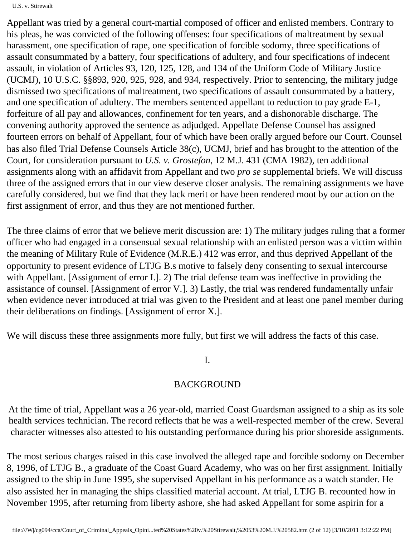#### U.S. v. Stirewalt

Appellant was tried by a general court-martial composed of officer and enlisted members. Contrary to his pleas, he was convicted of the following offenses: four specifications of maltreatment by sexual harassment, one specification of rape, one specification of forcible sodomy, three specifications of assault consummated by a battery, four specifications of adultery, and four specifications of indecent assault, in violation of Articles 93, 120, 125, 128, and 134 of the Uniform Code of Military Justice (UCMJ), 10 U.S.C. §§893, 920, 925, 928, and 934, respectively. Prior to sentencing, the military judge dismissed two specifications of maltreatment, two specifications of assault consummated by a battery, and one specification of adultery. The members sentenced appellant to reduction to pay grade E-1, forfeiture of all pay and allowances, confinement for ten years, and a dishonorable discharge. The convening authority approved the sentence as adjudged. Appellate Defense Counsel has assigned fourteen errors on behalf of Appellant, four of which have been orally argued before our Court. Counsel has also filed Trial Defense Counsel s Article 38(c), UCMJ, brief and has brought to the attention of the Court, for consideration pursuant to *U.S. v. Grostefon*, 12 M.J. 431 (CMA 1982), ten additional assignments along with an affidavit from Appellant and two *pro se* supplemental briefs. We will discuss three of the assigned errors that in our view deserve closer analysis. The remaining assignments we have carefully considered, but we find that they lack merit or have been rendered moot by our action on the first assignment of error, and thus they are not mentioned further.

The three claims of error that we believe merit discussion are: 1) The military judge s ruling that a former officer who had engaged in a consensual sexual relationship with an enlisted person was a victim within the meaning of Military Rule of Evidence (M.R.E.) 412 was error, and thus deprived Appellant of the opportunity to present evidence of LTJG B. s motive to falsely deny consenting to sexual intercourse with Appellant. [Assignment of error I.]. 2) The trial defense team was ineffective in providing the assistance of counsel. [Assignment of error V.]. 3) Lastly, the trial was rendered fundamentally unfair when evidence never introduced at trial was given to the President and at least one panel member during their deliberations on findings. [Assignment of error X.].

We will discuss these three assignments more fully, but first we will address the facts of this case.

### I.

### BACKGROUND

At the time of trial, Appellant was a 26 year-old, married Coast Guardsman assigned to a ship as it s sole health services technician. The record reflects that he was a well-respected member of the crew. Several character witnesses also attested to his outstanding performance during his prior shoreside assignments.

The most serious charges raised in this case involved the alleged rape and forcible sodomy on December 8, 1996, of LTJG B., a graduate of the Coast Guard Academy, who was on her first assignment. Initially assigned to the ship in June 1995, she supervised Appellant in his performance as a watch stander. He also assisted her in managing the ship s classified material account. At trial, LTJG B. recounted how in November 1995, after returning from liberty ashore, she had asked Appellant for some aspirin for a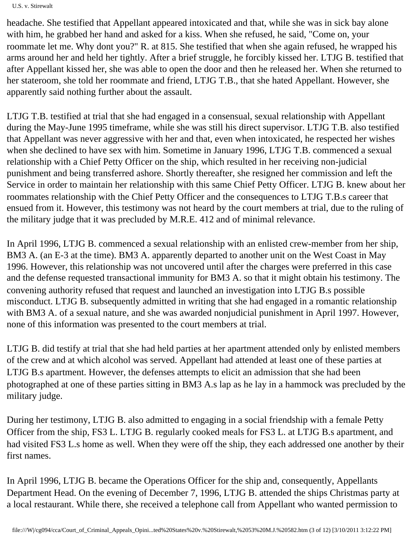U.S. v. Stirewalt

headache. She testified that Appellant appeared intoxicated and that, while she was in sick bay alone with him, he grabbed her hand and asked for a kiss. When she refused, he said, "Come on, your roommate let me. Why don t you?" R. at 815. She testified that when she again refused, he wrapped his arms around her and held her tightly. After a brief struggle, he forcibly kissed her. LTJG B. testified that after Appellant kissed her, she was able to open the door and then he released her. When she returned to her stateroom, she told her roommate and friend, LTJG T.B., that she hated Appellant. However, she apparently said nothing further about the assault.

LTJG T.B. testified at trial that she had engaged in a consensual, sexual relationship with Appellant during the May-June 1995 timeframe, while she was still his direct supervisor. LTJG T.B. also testified that Appellant was never aggressive with her and that, even when intoxicated, he respected her wishes when she declined to have sex with him. Sometime in January 1996, LTJG T.B. commenced a sexual relationship with a Chief Petty Officer on the ship, which resulted in her receiving non-judicial punishment and being transferred ashore. Shortly thereafter, she resigned her commission and left the Service in order to maintain her relationship with this same Chief Petty Officer. LTJG B. knew about her roommate s relationship with the Chief Petty Officer and the consequences to LTJG T.B. s career that ensued from it. However, this testimony was not heard by the court members at trial, due to the ruling of the military judge that it was precluded by M.R.E. 412 and of minimal relevance.

In April 1996, LTJG B. commenced a sexual relationship with an enlisted crew-member from her ship, BM3 A. (an E-3 at the time). BM3 A. apparently departed to another unit on the West Coast in May 1996. However, this relationship was not uncovered until after the charges were preferred in this case and the defense requested transactional immunity for BM3 A. so that it might obtain his testimony. The convening authority refused that request and launched an investigation into LTJG B. s possible misconduct. LTJG B. subsequently admitted in writing that she had engaged in a romantic relationship with BM3 A. of a sexual nature, and she was awarded nonjudicial punishment in April 1997. However, none of this information was presented to the court members at trial.

LTJG B. did testify at trial that she had held parties at her apartment attended only by enlisted members of the crew and at which alcohol was served. Appellant had attended at least one of these parties at LTJG B. s apartment. However, the defense s attempts to elicit an admission that she had been photographed at one of these parties sitting in BM3 A. s lap as he lay in a hammock was precluded by the military judge.

During her testimony, LTJG B. also admitted to engaging in a social friendship with a female Petty Officer from the ship, FS3 L. LTJG B. regularly cooked meals for FS3 L. at LTJG B. s apartment, and had visited FS3 L. s home as well. When they were off the ship, they each addressed one another by their first names.

In April 1996, LTJG B. became the Operations Officer for the ship and, consequently, Appellant s Department Head. On the evening of December 7, 1996, LTJG B. attended the ship s Christmas party at a local restaurant. While there, she received a telephone call from Appellant who wanted permission to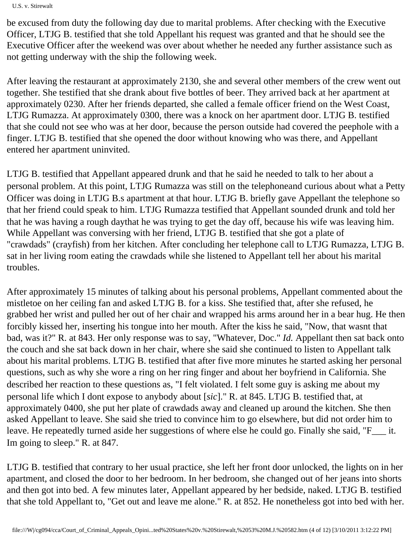U.S. v. Stirewalt

be excused from duty the following day due to marital problems. After checking with the Executive Officer, LTJG B. testified that she told Appellant his request was granted and that he should see the Executive Officer after the weekend was over about whether he needed any further assistance such as not getting underway with the ship the following week.

After leaving the restaurant at approximately 2130, she and several other members of the crew went out together. She testified that she drank about five bottles of beer. They arrived back at her apartment at approximately 0230. After her friends departed, she called a female officer friend on the West Coast, LTJG Rumazza. At approximately 0300, there was a knock on her apartment door. LTJG B. testified that she could not see who was at her door, because the person outside had covered the peephole with a finger. LTJG B. testified that she opened the door without knowing who was there, and Appellant entered her apartment uninvited.

LTJG B. testified that Appellant appeared drunk and that he said he needed to talk to her about a personal problem. At this point, LTJG Rumazza was still on the telephone and curious about what a Petty Officer was doing in LTJG B. s apartment at that hour. LTJG B. briefly gave Appellant the telephone so that her friend could speak to him. LTJG Rumazza testified that Appellant sounded drunk and told her that he was having a rough day that he was trying to get the day off, because his wife was leaving him. While Appellant was conversing with her friend, LTJG B. testified that she got a plate of "crawdads" (crayfish) from her kitchen. After concluding her telephone call to LTJG Rumazza, LTJG B. sat in her living room eating the crawdads while she listened to Appellant tell her about his marital troubles.

After approximately 15 minutes of talking about his personal problems, Appellant commented about the mistletoe on her ceiling fan and asked LTJG B. for a kiss. She testified that, after she refused, he grabbed her wrist and pulled her out of her chair and wrapped his arms around her in a bear hug. He then forcibly kissed her, inserting his tongue into her mouth. After the kiss he said, "Now, that wasn t that bad, was it?" R. at 843. Her only response was to say, "Whatever, Doc." *Id.* Appellant then sat back onto the couch and she sat back down in her chair, where she said she continued to listen to Appellant talk about his marital problems. LTJG B. testified that after five more minutes he started asking her personal questions, such as why she wore a ring on her ring finger and about her boyfriend in California. She described her reaction to these questions as, "I felt violated. I felt some guy is asking me about my personal life which I don t expose to anybody about [*sic*]." R. at 845. LTJG B. testified that, at approximately 0400, she put her plate of crawdads away and cleaned up around the kitchen. She then asked Appellant to leave. She said she tried to convince him to go elsewhere, but did not order him to leave. He repeatedly turned aside her suggestions of where else he could go. Finally she said, "F\_\_\_ it. I m going to sleep." R. at 847.

LTJG B. testified that contrary to her usual practice, she left her front door unlocked, the lights on in her apartment, and closed the door to her bedroom. In her bedroom, she changed out of her jeans into shorts and then got into bed. A few minutes later, Appellant appeared by her bedside, naked. LTJG B. testified that she told Appellant to, "Get out and leave me alone." R. at 852. He nonetheless got into bed with her.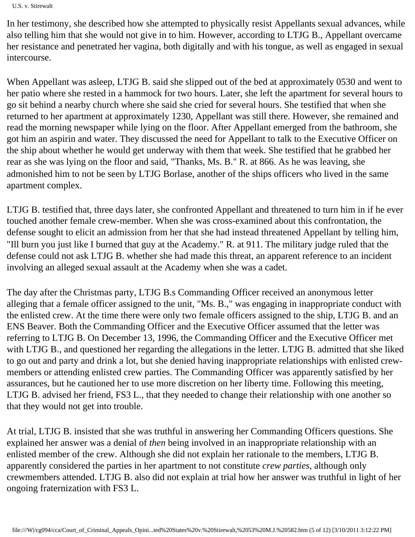U.S. v. Stirewalt

In her testimony, she described how she attempted to physically resist Appellant s sexual advances, while also telling him that she would not give in to him. However, according to LTJG B., Appellant overcame her resistance and penetrated her vagina, both digitally and with his tongue, as well as engaged in sexual intercourse.

When Appellant was asleep, LTJG B. said she slipped out of the bed at approximately 0530 and went to her patio where she rested in a hammock for two hours. Later, she left the apartment for several hours to go sit behind a nearby church where she said she cried for several hours. She testified that when she returned to her apartment at approximately 1230, Appellant was still there. However, she remained and read the morning newspaper while lying on the floor. After Appellant emerged from the bathroom, she got him an aspirin and water. They discussed the need for Appellant to talk to the Executive Officer on the ship about whether he would get underway with them that week. She testified that he grabbed her rear as she was lying on the floor and said, "Thanks, Ms. B." R. at 866. As he was leaving, she admonished him to not be seen by LTJG Borlase, another of the ship s officers who lived in the same apartment complex.

LTJG B. testified that, three days later, she confronted Appellant and threatened to turn him in if he ever touched another female crew-member. When she was cross-examined about this confrontation, the defense sought to elicit an admission from her that she had instead threatened Appellant by telling him, "I ll burn you just like I burned that guy at the Academy." R. at 911. The military judge ruled that the defense could not ask LTJG B. whether she had made this threat, an apparent reference to an incident involving an alleged sexual assault at the Academy when she was a cadet.

The day after the Christmas party, LTJG B. s Commanding Officer received an anonymous letter alleging that a female officer assigned to the unit, "Ms. B.," was engaging in inappropriate conduct with the enlisted crew. At the time there were only two female officers assigned to the ship, LTJG B. and an ENS Beaver. Both the Commanding Officer and the Executive Officer assumed that the letter was referring to LTJG B. On December 13, 1996, the Commanding Officer and the Executive Officer met with LTJG B., and questioned her regarding the allegations in the letter. LTJG B. admitted that she liked to go out and party and drink a lot, but she denied having inappropriate relationships with enlisted crewmembers or attending enlisted crew parties. The Commanding Officer was apparently satisfied by her assurances, but he cautioned her to use more discretion on her liberty time. Following this meeting, LTJG B. advised her friend, FS3 L., that they needed to change their relationship with one another so that they would not get into trouble.

At trial, LTJG B. insisted that she was truthful in answering her Commanding Officer s questions. She explained her answer was a denial of *then* being involved in an inappropriate relationship with an enlisted member of the crew. Although she did not explain her rationale to the members, LTJG B. apparently considered the parties in her apartment to not constitute *crew parties*, although only crewmembers attended. LTJG B. also did not explain at trial how her answer was truthful in light of her ongoing fraternization with FS3 L.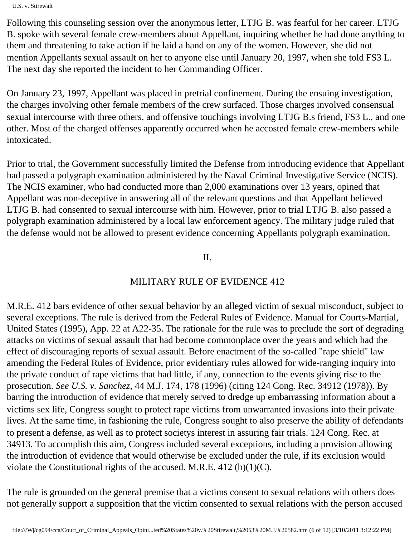U.S. v. Stirewalt

Following this counseling session over the anonymous letter, LTJG B. was fearful for her career. LTJG B. spoke with several female crew-members about Appellant, inquiring whether he had done anything to them and threatening to take action if he laid a hand on any of the women. However, she did not mention Appellant s sexual assault on her to anyone else until January 20, 1997, when she told FS3 L. The next day she reported the incident to her Commanding Officer.

On January 23, 1997, Appellant was placed in pretrial confinement. During the ensuing investigation, the charges involving other female members of the crew surfaced. Those charges involved consensual sexual intercourse with three others, and offensive touchings involving LTJG B. s friend, FS3 L., and one other. Most of the charged offenses apparently occurred when he accosted female crew-members while intoxicated.

Prior to trial, the Government successfully limited the Defense from introducing evidence that Appellant had passed a polygraph examination administered by the Naval Criminal Investigative Service (NCIS). The NCIS examiner, who had conducted more than 2,000 examinations over 13 years, opined that Appellant was non-deceptive in answering all of the relevant questions and that Appellant believed LTJG B. had consented to sexual intercourse with him. However, prior to trial LTJG B. also passed a polygraph examination administered by a local law enforcement agency. The military judge ruled that the defense would not be allowed to present evidence concerning Appellant s polygraph examination.

II.

# MILITARY RULE OF EVIDENCE 412

M.R.E. 412 bars evidence of other sexual behavior by an alleged victim of sexual misconduct, subject to several exceptions. The rule is derived from the Federal Rules of Evidence. Manual for Courts-Martial, United States (1995), App. 22 at A22-35. The rationale for the rule was to preclude the sort of degrading attacks on victims of sexual assault that had become commonplace over the years and which had the effect of discouraging reports of sexual assault. Before enactment of the so-called "rape shield" law amending the Federal Rules of Evidence, prior evidentiary rules allowed for wide-ranging inquiry into the private conduct of rape victims that had little, if any, connection to the events giving rise to the prosecution. *See U.S. v. Sanchez*, 44 M.J. 174, 178 (1996) (citing 124 Cong. Rec. 34912 (1978)). By barring the introduction of evidence that merely served to dredge up embarrassing information about a victim s sex life, Congress sought to protect rape victims from unwarranted invasions into their private lives. At the same time, in fashioning the rule, Congress sought to also preserve the ability of defendants to present a defense, as well as to protect society s interest in assuring fair trials. 124 Cong. Rec. at 34913*.* To accomplish this aim, Congress included several exceptions, including a provision allowing the introduction of evidence that would otherwise be excluded under the rule, if its exclusion would violate the Constitutional rights of the accused. M.R.E. 412 (b)(1)(C).

The rule is grounded on the general premise that a victim s consent to sexual relations with others does not generally support a supposition that the victim consented to sexual relations with the person accused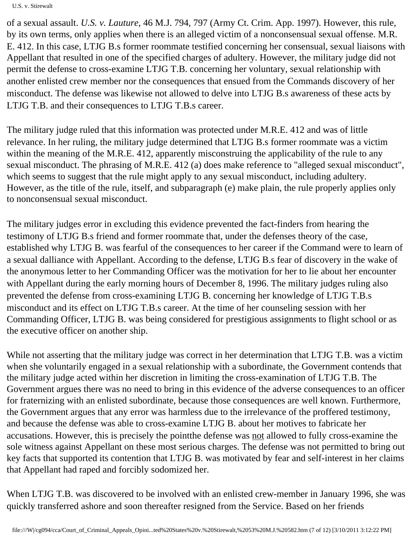U.S. v. Stirewalt

of a sexual assault. *U.S. v. Lauture*, 46 M.J. 794, 797 (Army Ct. Crim. App. 1997). However, this rule, by its own terms, only applies when there is an alleged victim of a nonconsensual sexual offense. M.R. E. 412. In this case, LTJG B. s former roommate testified concerning her consensual, sexual liaisons with Appellant that resulted in one of the specified charges of adultery. However, the military judge did not permit the defense to cross-examine LTJG T.B. concerning her voluntary, sexual relationship with another enlisted crew member nor the consequences that ensued from the Command s discovery of her misconduct. The defense was likewise not allowed to delve into LTJG B. s awareness of these acts by LTJG T.B. and their consequences to LTJG T.B. s career.

The military judge ruled that this information was protected under M.R.E. 412 and was of little relevance. In her ruling, the military judge determined that LTJG B. s former roommate was a victim within the meaning of the M.R.E. 412, apparently misconstruing the applicability of the rule to any sexual misconduct. The phrasing of M.R.E. 412 (a) does make reference to "alleged sexual misconduct", which seems to suggest that the rule might apply to any sexual misconduct, including adultery. However, as the title of the rule, itself, and subparagraph (e) make plain, the rule properly applies only to nonconsensual sexual misconduct.

The military judge s error in excluding this evidence prevented the fact-finders from hearing the testimony of LTJG B. s friend and former roommate that, under the defense s theory of the case, established why LTJG B. was fearful of the consequences to her career if the Command were to learn of a sexual dalliance with Appellant. According to the defense, LTJG B. s fear of discovery in the wake of the anonymous letter to her Commanding Officer was the motivation for her to lie about her encounter with Appellant during the early morning hours of December 8, 1996. The military judge s ruling also prevented the defense from cross-examining LTJG B. concerning her knowledge of LTJG T.B. s misconduct and its effect on LTJG T.B. s career. At the time of her counseling session with her Commanding Officer, LTJG B. was being considered for prestigious assignments to flight school or as the executive officer on another ship.

While not asserting that the military judge was correct in her determination that LTJG T.B. was a victim when she voluntarily engaged in a sexual relationship with a subordinate, the Government contends that the military judge acted within her discretion in limiting the cross-examination of LTJG T.B. The Government argues there was no need to bring in this evidence of the adverse consequences to an officer for fraternizing with an enlisted subordinate, because those consequences are well known. Furthermore, the Government argues that any error was harmless due to the irrelevance of the proffered testimony, and because the defense was able to cross-examine LTJG B. about her motives to fabricate her accusations. However, this is precisely the point the defense was not allowed to fully cross-examine the sole witness against Appellant on these most serious charges. The defense was not permitted to bring out key facts that supported its contention that LTJG B. was motivated by fear and self-interest in her claims that Appellant had raped and forcibly sodomized her.

When LTJG T.B. was discovered to be involved with an enlisted crew-member in January 1996, she was quickly transferred ashore and soon thereafter resigned from the Service. Based on her friend s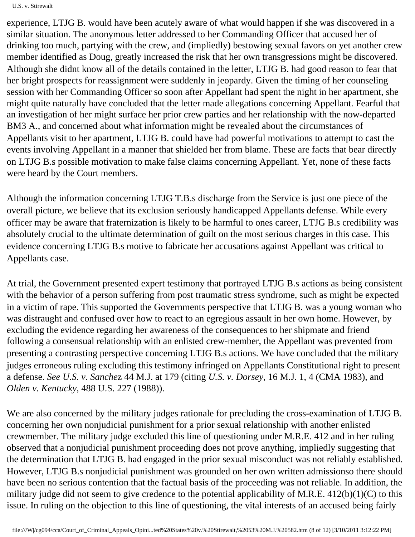U.S. v. Stirewalt

experience, LTJG B. would have been acutely aware of what would happen if she was discovered in a similar situation. The anonymous letter addressed to her Commanding Officer that accused her of drinking too much, partying with the crew, and (impliedly) bestowing sexual favors on yet another crew member identified as Doug, greatly increased the risk that her own transgressions might be discovered. Although she didn t know all of the details contained in the letter, LTJG B. had good reason to fear that her bright prospects for reassignment were suddenly in jeopardy. Given the timing of her counseling session with her Commanding Officer so soon after Appellant had spent the night in her apartment, she might quite naturally have concluded that the letter made allegations concerning Appellant. Fearful that an investigation of her might surface her prior crew parties and her relationship with the now-departed BM3 A., and concerned about what information might be revealed about the circumstances of Appellants visit to her apartment, LTJG B. could have had powerful motivations to attempt to cast the events involving Appellant in a manner that shielded her from blame. These are facts that bear directly on LTJG B. s possible motivation to make false claims concerning Appellant. Yet, none of these facts were heard by the Court members.

Although the information concerning LTJG T.B. s discharge from the Service is just one piece of the overall picture, we believe that its exclusion seriously handicapped Appellant s defense. While every officer may be aware that fraternization is likely to be harmful to one s career, LTJG B. s credibility was absolutely crucial to the ultimate determination of guilt on the most serious charges in this case. This evidence concerning LTJG B. s motive to fabricate her accusations against Appellant was critical to Appellant s case.

At trial, the Government presented expert testimony that portrayed LTJG B. s actions as being consistent with the behavior of a person suffering from post traumatic stress syndrome, such as might be expected in a victim of rape. This supported the Government s perspective that LTJG B. was a young woman who was distraught and confused over how to react to an egregious assault in her own home. However, by excluding the evidence regarding her awareness of the consequences to her shipmate and friend following a consensual relationship with an enlisted crew-member, the Appellant was prevented from presenting a contrasting perspective concerning LTJG B. s actions. We have concluded that the military judge s erroneous ruling excluding this testimony infringed on Appellant s Constitutional right to present a defense. *See U.S. v. Sanche*z 44 M.J. at 179 (citing *U.S. v. Dorsey*, 16 M.J. 1, 4 (CMA 1983), and *Olden v. Kentucky*, 488 U.S. 227 (1988)).

We are also concerned by the military judge s rationale for precluding the cross-examination of LTJG B. concerning her own nonjudicial punishment for a prior sexual relationship with another enlisted crewmember. The military judge excluded this line of questioning under M.R.E. 412 and in her ruling observed that a nonjudicial punishment proceeding does not prove anything, impliedly suggesting that the determination that LTJG B. had engaged in the prior sexual misconduct was not reliably established. However, LTJG B. s nonjudicial punishment was grounded on her own written admission so there should have been no serious contention that the factual basis of the proceeding was not reliable. In addition, the military judge did not seem to give credence to the potential applicability of M.R.E.  $412(b)(1)(C)$  to this issue. In ruling on the objection to this line of questioning, the vital interests of an accused being fairly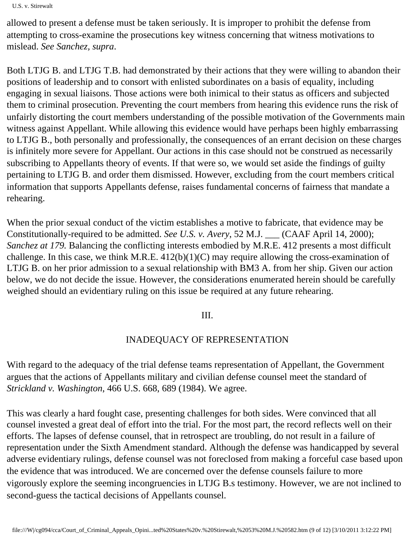```
U.S. v. Stirewalt
```
allowed to present a defense must be taken seriously. It is improper to prohibit the defense from attempting to cross-examine the prosecution s key witness concerning that witness motivations to mislead. *See Sanchez, supra*.

Both LTJG B. and LTJG T.B. had demonstrated by their actions that they were willing to abandon their positions of leadership and to consort with enlisted subordinates on a basis of equality, including engaging in sexual liaisons. Those actions were both inimical to their status as officers and subjected them to criminal prosecution. Preventing the court members from hearing this evidence runs the risk of unfairly distorting the court members understanding of the possible motivation of the Government s main witness against Appellant. While allowing this evidence would have perhaps been highly embarrassing to LTJG B., both personally and professionally, the consequences of an errant decision on these charges is infinitely more severe for Appellant. Our actions in this case should not be construed as necessarily subscribing to Appellant s theory of events. If that were so, we would set aside the findings of guilty pertaining to LTJG B. and order them dismissed. However, excluding from the court members critical information that supports Appellant s defense, raises fundamental concerns of fairness that mandate a rehearing.

When the prior sexual conduct of the victim establishes a motive to fabricate, that evidence may be Constitutionally-required to be admitted. *See U.S. v. Avery*, 52 M.J. \_\_\_ (CAAF April 14, 2000); *Sanchez at 179.* Balancing the conflicting interests embodied by M.R.E. 412 presents a most difficult challenge. In this case, we think M.R.E.  $412(b)(1)(C)$  may require allowing the cross-examination of LTJG B. on her prior admission to a sexual relationship with BM3 A. from her ship. Given our action below, we do not decide the issue. However, the considerations enumerated herein should be carefully weighed should an evidentiary ruling on this issue be required at any future rehearing.

# III.

# INADEQUACY OF REPRESENTATION

With regard to the adequacy of the trial defense team s representation of Appellant, the Government argues that the actions of Appellant s military and civilian defense counsel meet the standard of *Strickland v. Washington*, 466 U.S. 668, 689 (1984). We agree.

This was clearly a hard fought case, presenting challenges for both sides. We re convinced that all counsel invested a great deal of effort into the trial. For the most part, the record reflects well on their efforts. The lapses of defense counsel, that in retrospect are troubling, do not result in a failure of representation under the Sixth Amendment standard. Although the defense was handicapped by several adverse evidentiary rulings, defense counsel was not foreclosed from making a forceful case based upon the evidence that was introduced. We are concerned over the defense counsels failure to more vigorously explore the seeming incongruencies in LTJG B. s testimony. However, we are not inclined to second-guess the tactical decisions of Appellant s counsel.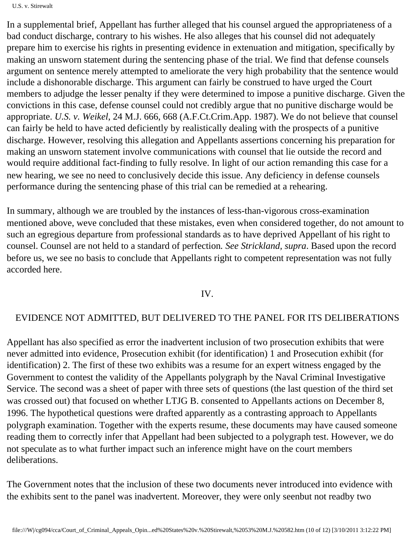In a supplemental brief, Appellant has further alleged that his counsel argued the appropriateness of a bad conduct discharge, contrary to his wishes. He also alleges that his counsel did not adequately prepare him to exercise his rights in presenting evidence in extenuation and mitigation, specifically by making an unsworn statement during the sentencing phase of the trial. We find that defense counsel s argument on sentence merely attempted to ameliorate the very high probability that the sentence would include a dishonorable discharge. This argument can fairly be construed to have urged the Court members to adjudge the lesser penalty if they were determined to impose a punitive discharge. Given the convictions in this case, defense counsel could not credibly argue that no punitive discharge would be appropriate. *U.S. v. Weikel*, 24 M.J. 666, 668 (A.F.Ct.Crim.App. 1987). We do not believe that counsel can fairly be held to have acted deficiently by realistically dealing with the prospects of a punitive discharge. However, resolving this allegation and Appellant s assertions concerning his preparation for making an unsworn statement involve communications with counsel that lie outside the record and would require additional fact-finding to fully resolve. In light of our action remanding this case for a new hearing, we see no need to conclusively decide this issue. Any deficiency in defense counsel s performance during the sentencing phase of this trial can be remedied at a rehearing.

In summary, although we are troubled by the instances of less-than-vigorous cross-examination mentioned above, we ve concluded that these mistakes, even when considered together, do not amount to such an egregious departure from professional standards as to have deprived Appellant of his right to counsel. Counsel are not held to a standard of perfection*. See Strickland, supra*. Based upon the record before us, we see no basis to conclude that Appellant s right to competent representation was not fully accorded here.

### IV.

## EVIDENCE NOT ADMITTED, BUT DELIVERED TO THE PANEL FOR ITS DELIBERATIONS

Appellant has also specified as error the inadvertent inclusion of two prosecution exhibits that were never admitted into evidence, Prosecution exhibit (for identification) 1 and Prosecution exhibit (for identification) 2. The first of these two exhibits was a resume for an expert witness engaged by the Government to contest the validity of the Appellant s polygraph by the Naval Criminal Investigative Service. The second was a sheet of paper with three sets of questions (the last question of the third set was crossed out) that focused on whether LTJG B. consented to Appellant s actions on December 8, 1996. The hypothetical questions were drafted apparently as a contrasting approach to Appellant s polygraph examination. Together with the expert s resume, these documents may have caused someone reading them to correctly infer that Appellant had been subjected to a polygraph test. However, we do not speculate as to what further impact such an inference might have on the court members deliberations.

The Government notes that the inclusion of these two documents never introduced into evidence with the exhibits sent to the panel was inadvertent. Moreover, they were only seen but not read by two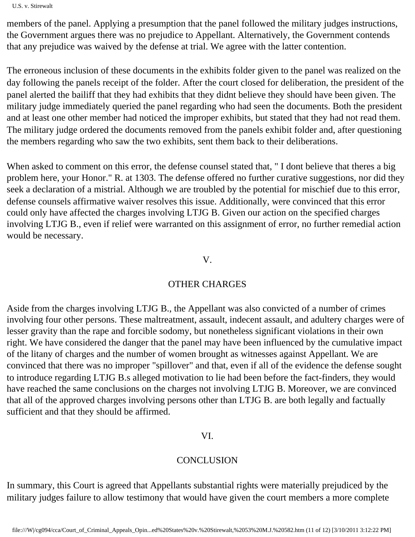U.S. v. Stirewalt

members of the panel. Applying a presumption that the panel followed the military judge s instructions, the Government argues there was no prejudice to Appellant. Alternatively, the Government contends that any prejudice was waived by the defense at trial. We agree with the latter contention.

The erroneous inclusion of these documents in the exhibits folder given to the panel was realized on the day following the panel s receipt of the folder. After the court closed for deliberation, the president of the panel alerted the bailiff that they had exhibits that they didn t believe they should have been given. The military judge immediately queried the panel regarding who had seen the documents. Both the president and at least one other member had noticed the improper exhibits, but stated that they had not read them. The military judge ordered the documents removed from the panel s exhibit folder and, after questioning the members regarding who saw the two exhibits, sent them back to their deliberations.

When asked to comment on this error, the defense counsel stated that, "I don t believe that there s a big problem here, your Honor." R. at 1303. The defense offered no further curative suggestions, nor did they seek a declaration of a mistrial. Although we are troubled by the potential for mischief due to this error, defense counsel s affirmative waiver resolves this issue. Additionally, we re convinced that this error could only have affected the charges involving LTJG B. Given our action on the specified charges involving LTJG B., even if relief were warranted on this assignment of error, no further remedial action would be necessary.

#### V.

### OTHER CHARGES

Aside from the charges involving LTJG B., the Appellant was also convicted of a number of crimes involving four other persons. These maltreatment, assault, indecent assault, and adultery charges were of lesser gravity than the rape and forcible sodomy, but nonetheless significant violations in their own right. We have considered the danger that the panel may have been influenced by the cumulative impact of the litany of charges and the number of women brought as witnesses against Appellant. We are convinced that there was no improper "spillover" and that, even if all of the evidence the defense sought to introduce regarding LTJG B. s alleged motivation to lie had been before the fact-finders, they would have reached the same conclusions on the charges not involving LTJG B. Moreover, we are convinced that all of the approved charges involving persons other than LTJG B. are both legally and factually sufficient and that they should be affirmed.

#### VI.

## **CONCLUSION**

In summary, this Court is agreed that Appellant s substantial rights were materially prejudiced by the military judge s failure to allow testimony that would have given the court members a more complete